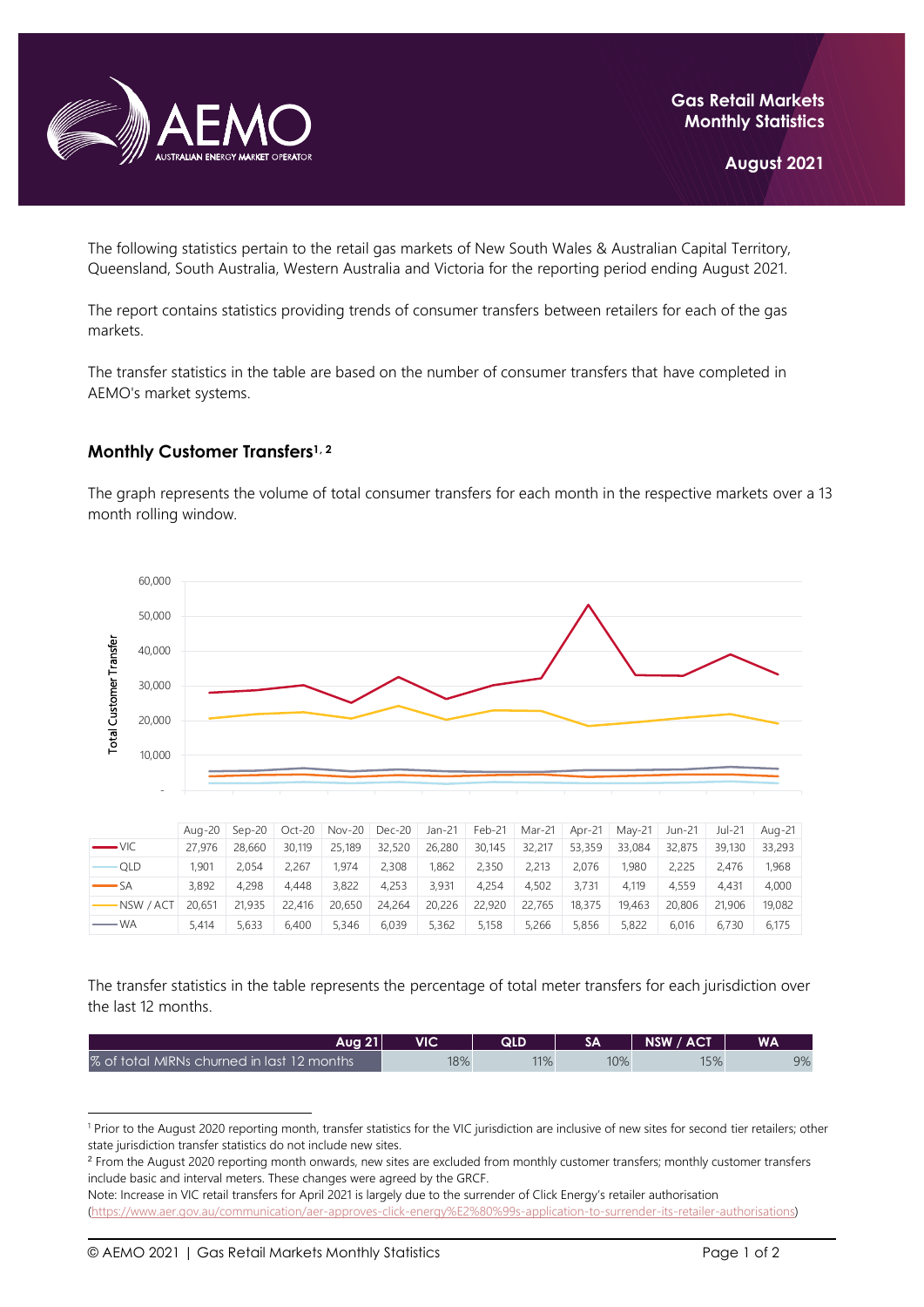

The following statistics pertain to the retail gas markets of New South Wales & Australian Capital Territory, Queensland, South Australia, Western Australia and Victoria for the reporting period ending August 2021.

The report contains statistics providing trends of consumer transfers between retailers for each of the gas markets.

The transfer statistics in the table are based on the number of consumer transfers that have completed in AEMO's market systems.

## **Monthly Customer Transfers1, <sup>2</sup>**

The graph represents the volume of total consumer transfers for each month in the respective markets over a 13 month rolling window.



|                      |        |        |        | Aug-20   Sep-20   Oct-20   Nov-20   Dec-20 |        | Jan-21 | Feb-21 | Mar-21 | Apr-21 | Mav-21 | Jun-21 | Jul-21 | Aua-21 |
|----------------------|--------|--------|--------|--------------------------------------------|--------|--------|--------|--------|--------|--------|--------|--------|--------|
| $ VIC$               | 27.976 | 28,660 | 30.119 | 25,189                                     | 32,520 | 26,280 | 30,145 | 32,217 | 53,359 | 33,084 | 32,875 | 39,130 | 33,293 |
| ∙QLD                 | 1.901  | 2.054  | 2.267  | 1.974                                      | 2,308  | 1.862  | 2.350  | 2.213  | 2.076  | 1,980  | 2.225  | 2.476  | 1.968  |
| $\longrightarrow$ SA | 3.892  | 4.298  | 4.448  | 3.822                                      | 4.253  | 3.931  | 4.254  | 4.502  | 3.731  | 4.119  | 4.559  | 4.431  | 4.000  |
| NSW / ACT            | 20.651 | 21,935 | 22,416 | 20,650                                     | 24,264 | 20,226 | 22,920 | 22,765 | 18,375 | 19.463 | 20,806 | 21,906 | 19,082 |
| — WA                 | 5.414  | 5.633  | 6.400  | 5.346                                      | 6.039  | 5.362  | 5.158  | 5.266  | 5.856  | 5.822  | 6.016  | 6.730  | 6.175  |

The transfer statistics in the table represents the percentage of total meter transfers for each jurisdiction over the last 12 months.

| Aua 21 I                                   | VIC | QLD |     | NSW / ACT | <b>WA</b> |
|--------------------------------------------|-----|-----|-----|-----------|-----------|
| % of total MIRNs churned in last 12 months | 18% | 11% | 10% | 15%       | 9%        |

<sup>&</sup>lt;sup>1</sup> Prior to the August 2020 reporting month, transfer statistics for the VIC jurisdiction are inclusive of new sites for second tier retailers; other state jurisdiction transfer statistics do not include new sites.

<sup>&</sup>lt;sup>2</sup> From the August 2020 reporting month onwards, new sites are excluded from monthly customer transfers; monthly customer transfers include basic and interval meters. These changes were agreed by the GRCF.

Note: Increase in VIC retail transfers for April 2021 is largely due to the surrender of Click Energy's retailer authorisation [\(https://www.aer.gov.au/communication/aer-approves-click-energy%E2%80%99s-application-to-surrender-its-retailer-authorisations\)](https://www.aer.gov.au/communication/aer-approves-click-energy%E2%80%99s-application-to-surrender-its-retailer-authorisations)